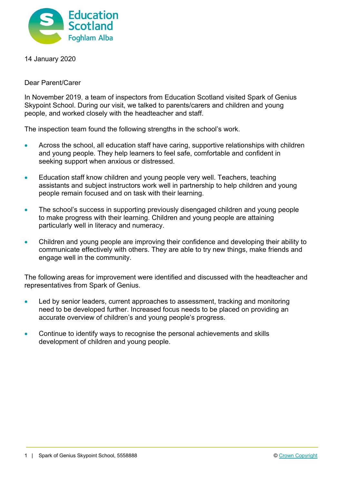

14 January 2020

Dear Parent/Carer

In November 2019, a team of inspectors from Education Scotland visited Spark of Genius Skypoint School. During our visit, we talked to parents/carers and children and young people, and worked closely with the headteacher and staff.

The inspection team found the following strengths in the school's work.

- Across the school, all education staff have caring, supportive relationships with children and young people. They help learners to feel safe, comfortable and confident in seeking support when anxious or distressed.
- Education staff know children and young people very well. Teachers, teaching assistants and subject instructors work well in partnership to help children and young people remain focused and on task with their learning.
- The school's success in supporting previously disengaged children and young people to make progress with their learning. Children and young people are attaining particularly well in literacy and numeracy.
- Children and young people are improving their confidence and developing their ability to communicate effectively with others. They are able to try new things, make friends and engage well in the community.

The following areas for improvement were identified and discussed with the headteacher and representatives from Spark of Genius.

- Led by senior leaders, current approaches to assessment, tracking and monitoring need to be developed further. Increased focus needs to be placed on providing an accurate overview of children's and young people's progress.
- Continue to identify ways to recognise the personal achievements and skills development of children and young people.